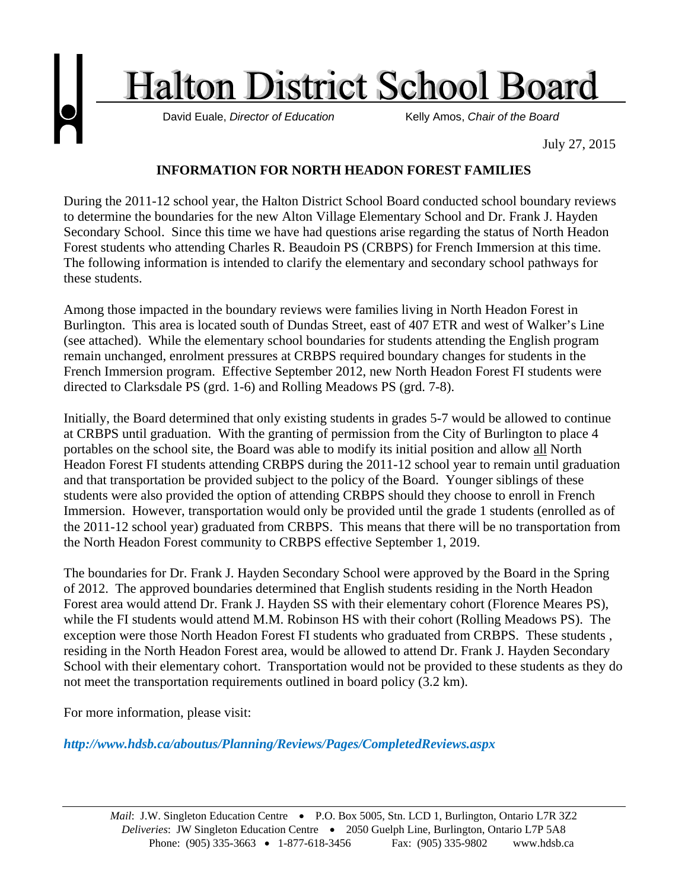

## **INFORMATION FOR NORTH HEADON FOREST FAMILIES**

During the 2011-12 school year, the Halton District School Board conducted school boundary reviews to determine the boundaries for the new Alton Village Elementary School and Dr. Frank J. Hayden Secondary School. Since this time we have had questions arise regarding the status of North Headon Forest students who attending Charles R. Beaudoin PS (CRBPS) for French Immersion at this time. The following information is intended to clarify the elementary and secondary school pathways for these students.

Among those impacted in the boundary reviews were families living in North Headon Forest in Burlington. This area is located south of Dundas Street, east of 407 ETR and west of Walker's Line (see attached). While the elementary school boundaries for students attending the English program remain unchanged, enrolment pressures at CRBPS required boundary changes for students in the French Immersion program. Effective September 2012, new North Headon Forest FI students were directed to Clarksdale PS (grd. 1-6) and Rolling Meadows PS (grd. 7-8).

Initially, the Board determined that only existing students in grades 5-7 would be allowed to continue at CRBPS until graduation. With the granting of permission from the City of Burlington to place 4 portables on the school site, the Board was able to modify its initial position and allow all North Headon Forest FI students attending CRBPS during the 2011-12 school year to remain until graduation and that transportation be provided subject to the policy of the Board. Younger siblings of these students were also provided the option of attending CRBPS should they choose to enroll in French Immersion. However, transportation would only be provided until the grade 1 students (enrolled as of the 2011-12 school year) graduated from CRBPS. This means that there will be no transportation from the North Headon Forest community to CRBPS effective September 1, 2019.

The boundaries for Dr. Frank J. Hayden Secondary School were approved by the Board in the Spring of 2012. The approved boundaries determined that English students residing in the North Headon Forest area would attend Dr. Frank J. Hayden SS with their elementary cohort (Florence Meares PS), while the FI students would attend M.M. Robinson HS with their cohort (Rolling Meadows PS). The exception were those North Headon Forest FI students who graduated from CRBPS. These students , residing in the North Headon Forest area, would be allowed to attend Dr. Frank J. Hayden Secondary School with their elementary cohort. Transportation would not be provided to these students as they do not meet the transportation requirements outlined in board policy (3.2 km).

For more information, please visit:

*http://www.hdsb.ca/aboutus/Planning/Reviews/Pages/CompletedReviews.aspx*